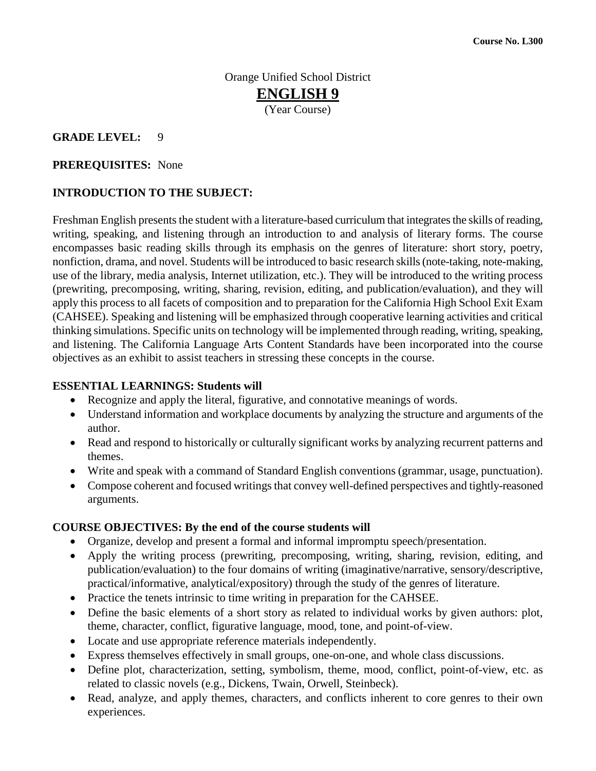## Orange Unified School District **ENGLISH 9** (Year Course)

#### **GRADE LEVEL:** 9

#### **PREREQUISITES:** None

### **INTRODUCTION TO THE SUBJECT:**

Freshman English presents the student with a literature-based curriculum that integrates the skills of reading, writing, speaking, and listening through an introduction to and analysis of literary forms. The course encompasses basic reading skills through its emphasis on the genres of literature: short story, poetry, nonfiction, drama, and novel. Students will be introduced to basic research skills (note-taking, note-making, use of the library, media analysis, Internet utilization, etc.). They will be introduced to the writing process (prewriting, precomposing, writing, sharing, revision, editing, and publication/evaluation), and they will apply this process to all facets of composition and to preparation for the California High School Exit Exam (CAHSEE). Speaking and listening will be emphasized through cooperative learning activities and critical thinking simulations. Specific units on technology will be implemented through reading, writing, speaking, and listening. The California Language Arts Content Standards have been incorporated into the course objectives as an exhibit to assist teachers in stressing these concepts in the course.

#### **ESSENTIAL LEARNINGS: Students will**

- Recognize and apply the literal, figurative, and connotative meanings of words.
- Understand information and workplace documents by analyzing the structure and arguments of the author.
- Read and respond to historically or culturally significant works by analyzing recurrent patterns and themes.
- Write and speak with a command of Standard English conventions (grammar, usage, punctuation).
- Compose coherent and focused writings that convey well-defined perspectives and tightly-reasoned arguments.

#### **COURSE OBJECTIVES: By the end of the course students will**

- Organize, develop and present a formal and informal impromptu speech/presentation.
- Apply the writing process (prewriting, precomposing, writing, sharing, revision, editing, and publication/evaluation) to the four domains of writing (imaginative/narrative, sensory/descriptive, practical/informative, analytical/expository) through the study of the genres of literature.
- Practice the tenets intrinsic to time writing in preparation for the CAHSEE.
- Define the basic elements of a short story as related to individual works by given authors: plot, theme, character, conflict, figurative language, mood, tone, and point-of-view.
- Locate and use appropriate reference materials independently.
- Express themselves effectively in small groups, one-on-one, and whole class discussions.
- Define plot, characterization, setting, symbolism, theme, mood, conflict, point-of-view, etc. as related to classic novels (e.g., Dickens, Twain, Orwell, Steinbeck).
- Read, analyze, and apply themes, characters, and conflicts inherent to core genres to their own experiences.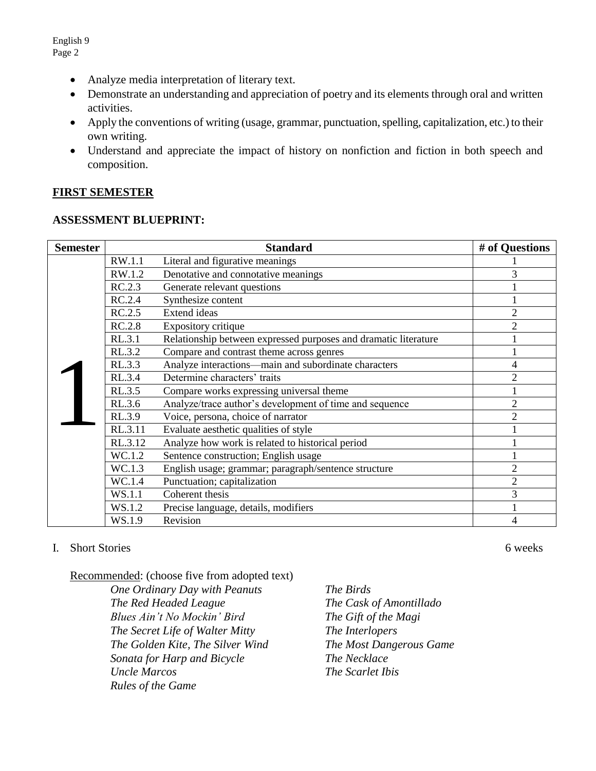- Analyze media interpretation of literary text.
- Demonstrate an understanding and appreciation of poetry and its elements through oral and written activities.
- Apply the conventions of writing (usage, grammar, punctuation, spelling, capitalization, etc.) to their own writing.
- Understand and appreciate the impact of history on nonfiction and fiction in both speech and composition.

#### **FIRST SEMESTER**

#### **ASSESSMENT BLUEPRINT:**

| <b>Semester</b> | <b>Standard</b>                                  |                                                                 | # of Questions |
|-----------------|--------------------------------------------------|-----------------------------------------------------------------|----------------|
|                 | RW.1.1                                           | Literal and figurative meanings                                 |                |
|                 | RW.1.2                                           | Denotative and connotative meanings                             | 3              |
|                 | RC.2.3                                           | Generate relevant questions                                     |                |
|                 | RC.2.4                                           | Synthesize content                                              |                |
|                 | RC.2.5                                           | <b>Extend ideas</b>                                             | $\overline{2}$ |
|                 | RC.2.8                                           | Expository critique                                             | $\overline{2}$ |
|                 | RL.3.1                                           | Relationship between expressed purposes and dramatic literature |                |
|                 | RL.3.2                                           | Compare and contrast theme across genres                        |                |
|                 | RL.3.3                                           | Analyze interactions—main and subordinate characters            | 4              |
|                 | RL.3.4                                           | Determine characters' traits                                    | $\overline{2}$ |
|                 | RL.3.5                                           | Compare works expressing universal theme                        |                |
|                 | RL.3.6                                           | Analyze/trace author's development of time and sequence         | $\overline{2}$ |
|                 | RL.3.9                                           | Voice, persona, choice of narrator                              | $\overline{2}$ |
|                 | RL.3.11                                          | Evaluate aesthetic qualities of style                           |                |
| RL.3.12         | Analyze how work is related to historical period |                                                                 |                |
|                 | WC.1.2                                           | Sentence construction; English usage                            |                |
|                 | WC.1.3                                           | English usage; grammar; paragraph/sentence structure            | $\overline{2}$ |
|                 | WC.1.4                                           | Punctuation; capitalization                                     | $\overline{2}$ |
|                 | WS.1.1                                           | Coherent thesis                                                 | 3              |
|                 | WS.1.2                                           | Precise language, details, modifiers                            |                |
|                 | WS.1.9                                           | Revision                                                        | 4              |

#### I. Short Stories 6 weeks 6 weeks 6 weeks 6 weeks 6 weeks 6 weeks 6 weeks 6 weeks 6 weeks 6 weeks 6 weeks 6 weeks 6 weeks 6 weeks 6 weeks 6 weeks 6 weeks 6 weeks 6 weeks 6 weeks 6 weeks 6 weeks 6 weeks 6 weeks 6 weeks 6 wee

Recommended: (choose five from adopted text)

*One Ordinary Day with Peanuts The Birds The Red Headed League The Cask of Amontillado Blues Ain't No Mockin' Bird The Gift of the Magi The Secret Life of Walter Mitty The Interlopers The Golden Kite, The Silver Wind The Most Dangerous Game Sonata for Harp and Bicycle The Necklace Uncle Marcos The Scarlet Ibis Rules of the Game*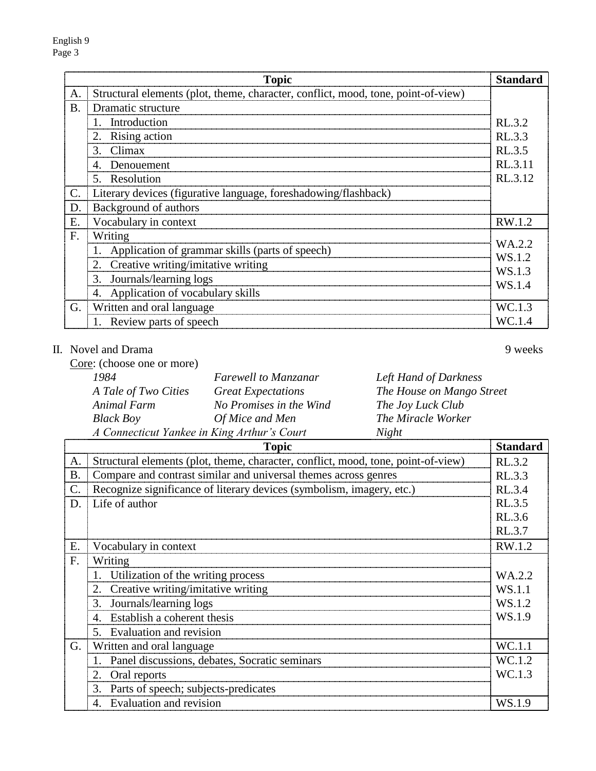|           | <b>Topic</b>                                                                      | <b>Standard</b> |
|-----------|-----------------------------------------------------------------------------------|-----------------|
| A.        | Structural elements (plot, theme, character, conflict, mood, tone, point-of-view) |                 |
| <b>B.</b> | Dramatic structure                                                                |                 |
|           | 1. Introduction                                                                   | RL.3.2          |
|           | 2. Rising action                                                                  | RL.3.3          |
|           | 3. Climax                                                                         | RL.3.5          |
|           | 4. Denouement                                                                     | RL.3.11         |
|           | 5. Resolution                                                                     | RL.3.12         |
| C.        | Literary devices (figurative language, foreshadowing/flashback)                   |                 |
| D.        | Background of authors                                                             |                 |
| Ε.        | Vocabulary in context                                                             | RW.1.2          |
| F.        | Writing                                                                           | WA.2.2          |
|           | 1. Application of grammar skills (parts of speech)                                | WS.1.2          |
|           | 2. Creative writing/imitative writing                                             | WS.1.3          |
|           | 3. Journals/learning logs                                                         | WS.1.4          |
|           | 4. Application of vocabulary skills                                               |                 |
| G.        | Written and oral language                                                         | WC.1.3          |
|           | 1. Review parts of speech                                                         | WC.1.4          |

# II. Novel and Drama 9 weeks

Core: (choose one or more)

 $\overline{\phantom{0}}$ 

| 1984                 | Farewell to Manzanar                        | Left Hand of Darkness     |
|----------------------|---------------------------------------------|---------------------------|
| A Tale of Two Cities | <b>Great Expectations</b>                   | The House on Mango Street |
| Animal Farm          | No Promises in the Wind                     | The Joy Luck Club         |
| <b>Black Boy</b>     | Of Mice and Men                             | The Miracle Worker        |
|                      | A Connecticut Yankee in King Arthur's Court | Night                     |

|                 | <b>Topic</b>                                                                      | <b>Standard</b> |
|-----------------|-----------------------------------------------------------------------------------|-----------------|
| A.              | Structural elements (plot, theme, character, conflict, mood, tone, point-of-view) | RL.3.2          |
| <b>B.</b>       | Compare and contrast similar and universal themes across genres                   | RL.3.3          |
| $\mathcal{C}$ . | Recognize significance of literary devices (symbolism, imagery, etc.)             | RL.3.4          |
| D.              | Life of author                                                                    | RL.3.5          |
|                 |                                                                                   | RL.3.6          |
|                 |                                                                                   | RL.3.7          |
| Е.              | Vocabulary in context                                                             | RW.1.2          |
| F.              | Writing                                                                           |                 |
|                 | 1. Utilization of the writing process                                             | WA.2.2          |
|                 | Creative writing/imitative writing<br>2.                                          | WS.1.1          |
|                 | Journals/learning logs<br>3.                                                      | WS.1.2          |
|                 | Establish a coherent thesis<br>$\mathcal{A}_{\cdot}$                              | WS.1.9          |
|                 | 5. Evaluation and revision                                                        |                 |
| G.              | Written and oral language                                                         | WC.1.1          |
|                 | Panel discussions, debates, Socratic seminars                                     | WC.1.2          |
|                 | 2.<br>Oral reports                                                                | WC.1.3          |
|                 | 3. Parts of speech; subjects-predicates                                           |                 |
|                 | Evaluation and revision<br>4.                                                     | WS.1.9          |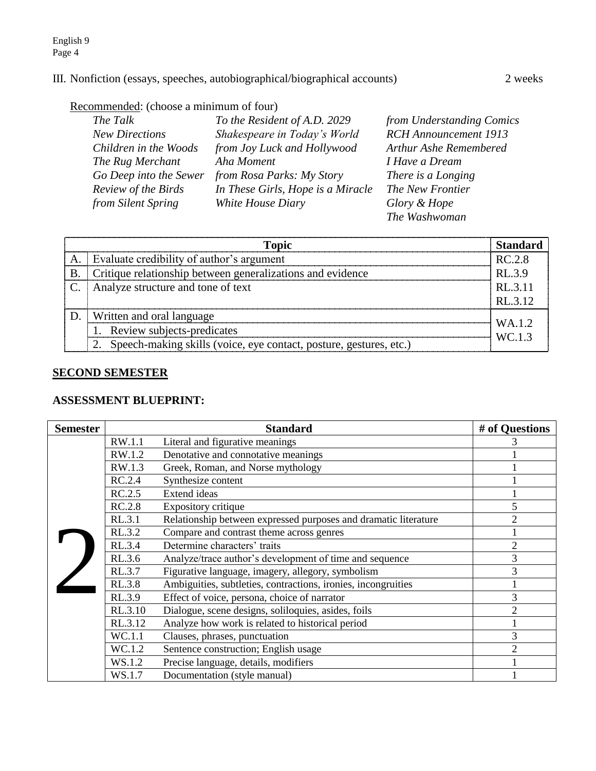## III. Nonfiction (essays, speeches, autobiographical/biographical accounts) 2 weeks

# Recommended: (choose a minimum of four)

| The Talk               | To the Resident of A.D. 2029      | from Understanding Comics    |
|------------------------|-----------------------------------|------------------------------|
| <b>New Directions</b>  | Shakespeare in Today's World      | <b>RCH</b> Announcement 1913 |
| Children in the Woods  | from Joy Luck and Hollywood       | Arthur Ashe Remembered       |
| The Rug Merchant       | Aha Moment                        | I Have a Dream               |
| Go Deep into the Sewer | from Rosa Parks: My Story         | There is a Longing           |
| Review of the Birds    | In These Girls, Hope is a Miracle | The New Frontier             |
| from Silent Spring     | White House Diary                 | Glory & Hope                 |
|                        |                                   | The Washwoman                |

|    | <b>Topic</b>                                                          | <b>Standard</b> |
|----|-----------------------------------------------------------------------|-----------------|
| A. | Evaluate credibility of author's argument                             | RC.2.8          |
| B  | Critique relationship between generalizations and evidence            | RL.3.9          |
|    | Analyze structure and tone of text                                    | RL.3.11         |
|    |                                                                       | RL.3.12         |
|    | <b>Written and oral language</b>                                      | WA.1.2          |
|    | 1. Review subjects-predicates                                         | WC.1.3          |
|    | 2. Speech-making skills (voice, eye contact, posture, gestures, etc.) |                 |

## **SECOND SEMESTER**

### **ASSESSMENT BLUEPRINT:**

| <b>Semester</b> | <b>Standard</b>                                                |                                                                 | # of Questions |
|-----------------|----------------------------------------------------------------|-----------------------------------------------------------------|----------------|
|                 | RW.1.1                                                         | Literal and figurative meanings                                 |                |
|                 | RW.1.2                                                         | Denotative and connotative meanings                             |                |
|                 | RW.1.3                                                         | Greek, Roman, and Norse mythology                               |                |
|                 | RC.2.4                                                         | Synthesize content                                              |                |
|                 | RC.2.5                                                         | <b>Extend ideas</b>                                             |                |
|                 | RC.2.8                                                         | Expository critique                                             | 5              |
|                 | RL.3.1                                                         | Relationship between expressed purposes and dramatic literature | $\overline{2}$ |
|                 | RL.3.2                                                         | Compare and contrast theme across genres                        |                |
|                 | RL.3.4                                                         | Determine characters' traits                                    | $\overline{2}$ |
|                 | RL.3.6                                                         | Analyze/trace author's development of time and sequence         | $\mathfrak{Z}$ |
|                 | RL.3.7                                                         | Figurative language, imagery, allegory, symbolism               | 3              |
|                 | <b>RL.3.8</b>                                                  | Ambiguities, subtleties, contractions, ironies, incongruities   |                |
|                 | RL.3.9                                                         | Effect of voice, persona, choice of narrator                    | 3              |
|                 | Dialogue, scene designs, soliloquies, asides, foils<br>RL.3.10 | $\overline{2}$                                                  |                |
|                 | RL.3.12                                                        | Analyze how work is related to historical period                |                |
|                 | WC.1.1                                                         | Clauses, phrases, punctuation                                   | 3              |
|                 | WC.1.2                                                         | Sentence construction; English usage                            | $\overline{2}$ |
|                 | WS.1.2                                                         | Precise language, details, modifiers                            |                |
|                 | WS.1.7                                                         | Documentation (style manual)                                    |                |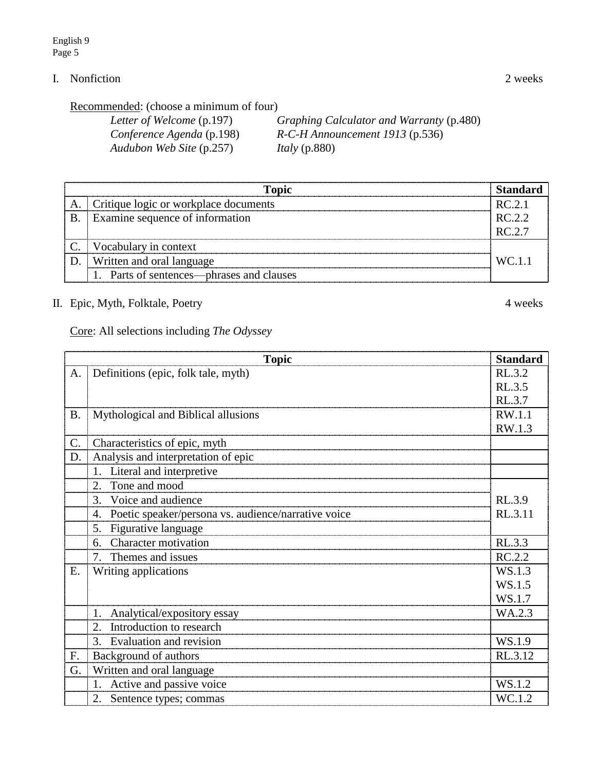# I. Nonfiction 2 weeks

Recommended: (choose a minimum of four)

| Letter of Welcome (p.197) | Graphing Calculator and Warranty (p.480) |
|---------------------------|------------------------------------------|
| Conference Agenda (p.198) | $R$ -C-H Announcement 1913 (p.536)       |
| Audubon Web Site (p.257)  | <i>Italy</i> (p.880)                     |

| <b>Topic</b> |                                           |        |
|--------------|-------------------------------------------|--------|
|              | Critique logic or workplace documents     | RC 2.1 |
| B            | Examine sequence of information           | RC.2.2 |
|              |                                           | RC.2.7 |
|              | Vocabulary in context                     |        |
|              | Written and oral language                 | WC.1.1 |
|              | 1. Parts of sentences—phrases and clauses |        |

II. Epic, Myth, Folktale, Poetry 4 weeks

Core: All selections including *The Odyssey*

|           | <b>Standard</b><br><b>Topic</b>                           |         |  |  |
|-----------|-----------------------------------------------------------|---------|--|--|
| A.        | Definitions (epic, folk tale, myth)                       | RL.3.2  |  |  |
|           |                                                           | RL.3.5  |  |  |
|           |                                                           | RL.3.7  |  |  |
| <b>B.</b> | Mythological and Biblical allusions                       | RW.1.1  |  |  |
|           |                                                           | RW.1.3  |  |  |
| C.        | Characteristics of epic, myth                             |         |  |  |
| D.        | Analysis and interpretation of epic                       |         |  |  |
|           | 1. Literal and interpretive                               |         |  |  |
|           | Tone and mood<br>2.                                       |         |  |  |
|           | Voice and audience<br>3.                                  | RL.3.9  |  |  |
|           | Poetic speaker/persona vs. audience/narrative voice<br>4. | RL.3.11 |  |  |
|           | Figurative language<br>5.                                 |         |  |  |
|           | <b>Character motivation</b><br>6.                         | RL.3.3  |  |  |
|           | 7. Themes and issues                                      | RC.2.2  |  |  |
| E.        | Writing applications                                      | WS.1.3  |  |  |
|           |                                                           | WS.1.5  |  |  |
|           |                                                           | WS.1.7  |  |  |
|           | Analytical/expository essay                               | WA.2.3  |  |  |
|           | Introduction to research<br>2.                            |         |  |  |
|           | 3. Evaluation and revision                                | WS.1.9  |  |  |
| F.        | Background of authors                                     | RL.3.12 |  |  |
| G.        | Written and oral language                                 |         |  |  |
|           | 1. Active and passive voice                               | WS.1.2  |  |  |
|           | 2. Sentence types; commas                                 | WC.1.2  |  |  |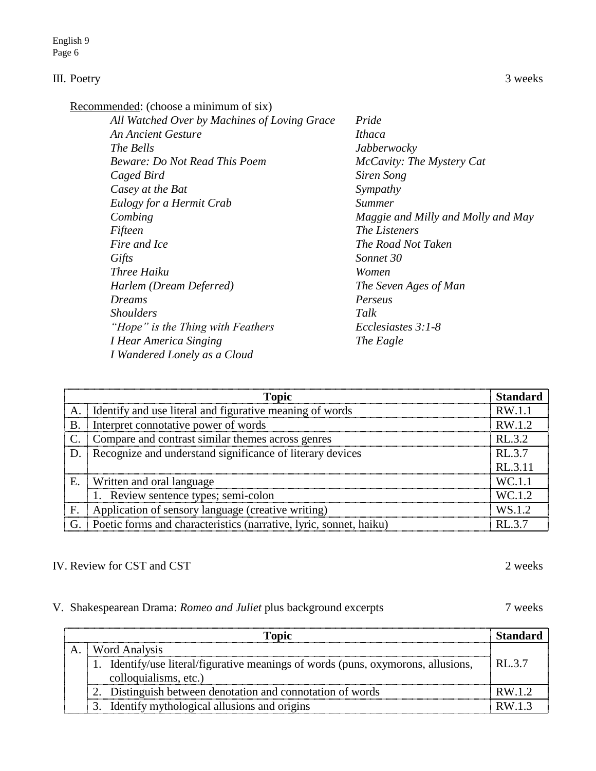#### III. Poetry 3 weeks

| All Watched Over by Machines of Loving Grace | Pride                              |
|----------------------------------------------|------------------------------------|
| <b>An Ancient Gesture</b>                    | <i>Ithaca</i>                      |
| <i>The Bells</i>                             | Jabberwocky                        |
| <b>Beware: Do Not Read This Poem</b>         | McCavity: The Mystery Cat          |
| Caged Bird                                   | Siren Song                         |
| Casey at the Bat                             | Sympathy                           |
| Eulogy for a Hermit Crab                     | <i>Summer</i>                      |
| Combing                                      | Maggie and Milly and Molly and May |
| Fifteen                                      | <i>The Listeners</i>               |
| Fire and Ice                                 | The Road Not Taken                 |
| Gifts                                        | Sonnet 30                          |
| <i>Three Haiku</i>                           | Women                              |
| Harlem (Dream Deferred)                      | The Seven Ages of Man              |
| Dreams                                       | Perseus                            |
| <i>Shoulders</i>                             | Talk                               |
| "Hope" is the Thing with Feathers            | Ecclesiastes $3:1-8$               |
| I Hear America Singing                       | The Eagle                          |
| I Wandered Lonely as a Cloud                 |                                    |
|                                              |                                    |

|                 | <b>Topic</b>                                                       | <b>Standard</b> |
|-----------------|--------------------------------------------------------------------|-----------------|
| A.              | I Identify and use literal and figurative meaning of words         | RW.1.1          |
| <b>B.</b>       | Interpret connotative power of words                               | RW.1.2          |
| $\mathcal{C}$ . | Compare and contrast similar themes across genres                  | RL.3.2          |
| D.              | Recognize and understand significance of literary devices          | RL.3.7          |
|                 |                                                                    | RL.3.11         |
| E.              | Written and oral language                                          | WC.1.1          |
|                 | 1. Review sentence types; semi-colon                               | WC.1.2          |
| F.              | Application of sensory language (creative writing)                 | WS.1.2          |
| G.              | Poetic forms and characteristics (narrative, lyric, sonnet, haiku) | RL.3.7          |

#### IV. Review for CST and CST 2 weeks

#### V. Shakespearean Drama: *Romeo and Juliet* plus background excerpts 7 weeks

**Topic Standard** A. Word Analysis 1. Identify/use literal/figurative meanings of words (puns, oxymorons, allusions, RL.3.7) colloquialisms, etc.) 2. Distinguish between denotation and connotation of words RW.1.2 3. Identify mythological allusions and origins  $\vert$  RW.1.3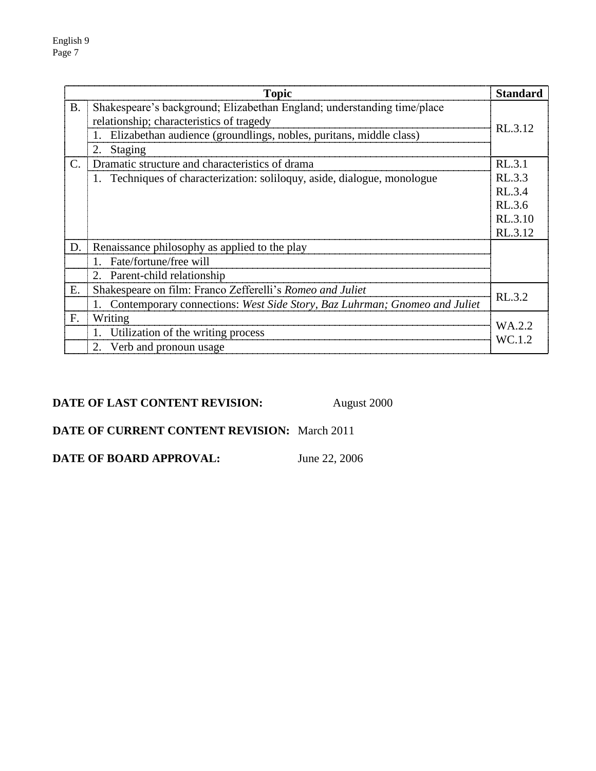| <b>Topic</b>    |                                                                                                                                                                                                            | <b>Standard</b>                                  |
|-----------------|------------------------------------------------------------------------------------------------------------------------------------------------------------------------------------------------------------|--------------------------------------------------|
| <b>B.</b>       | Shakespeare's background; Elizabethan England; understanding time/place<br>relationship; characteristics of tragedy<br>Elizabethan audience (groundlings, nobles, puritans, middle class)<br>Staging<br>2. | RL.3.12                                          |
| $\mathcal{C}$ . | Dramatic structure and characteristics of drama                                                                                                                                                            | RL.3.1                                           |
|                 | 1. Techniques of characterization: soliloguy, aside, dialogue, monologue                                                                                                                                   | RL.3.3<br>RL.3.4<br>RL.3.6<br>RL.3.10<br>RL.3.12 |
| D.              | Renaissance philosophy as applied to the play                                                                                                                                                              |                                                  |
|                 | 1. Fate/fortune/free will                                                                                                                                                                                  |                                                  |
|                 | 2. Parent-child relationship                                                                                                                                                                               |                                                  |
| Ε.              | Shakespeare on film: Franco Zefferelli's Romeo and Juliet                                                                                                                                                  | RL.3.2                                           |
|                 | 1. Contemporary connections: West Side Story, Baz Luhrman; Gnomeo and Juliet                                                                                                                               |                                                  |
| F.              | Writing<br>1. Utilization of the writing process<br>2. Verb and pronoun usage                                                                                                                              | WA.2.2<br>WC.1.2                                 |

# **DATE OF LAST CONTENT REVISION:** August 2000

# **DATE OF CURRENT CONTENT REVISION:** March 2011

**DATE OF BOARD APPROVAL:** June 22, 2006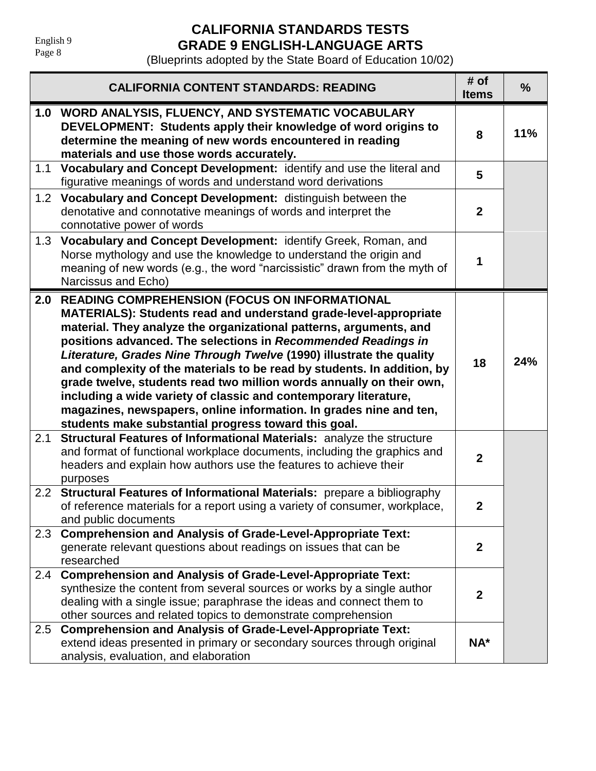# **CALIFORNIA STANDARDS TESTS GRADE 9 ENGLISH-LANGUAGE ARTS**

|                  | <b>CALIFORNIA CONTENT STANDARDS: READING</b>                                                                                                                                                                                                                                                                                                                                                                                                                                                                                                                                                                                                                                              | # of<br><b>Items</b> | $\frac{9}{6}$ |
|------------------|-------------------------------------------------------------------------------------------------------------------------------------------------------------------------------------------------------------------------------------------------------------------------------------------------------------------------------------------------------------------------------------------------------------------------------------------------------------------------------------------------------------------------------------------------------------------------------------------------------------------------------------------------------------------------------------------|----------------------|---------------|
|                  | 1.0 WORD ANALYSIS, FLUENCY, AND SYSTEMATIC VOCABULARY<br>DEVELOPMENT: Students apply their knowledge of word origins to<br>determine the meaning of new words encountered in reading<br>materials and use those words accurately.                                                                                                                                                                                                                                                                                                                                                                                                                                                         | 8                    | 11%           |
| 1.1              | Vocabulary and Concept Development: identify and use the literal and<br>figurative meanings of words and understand word derivations                                                                                                                                                                                                                                                                                                                                                                                                                                                                                                                                                      | 5                    |               |
|                  | 1.2 Vocabulary and Concept Development: distinguish between the<br>denotative and connotative meanings of words and interpret the<br>connotative power of words                                                                                                                                                                                                                                                                                                                                                                                                                                                                                                                           | $\mathbf{2}$         |               |
| 1.3              | Vocabulary and Concept Development: identify Greek, Roman, and<br>Norse mythology and use the knowledge to understand the origin and<br>meaning of new words (e.g., the word "narcissistic" drawn from the myth of<br>Narcissus and Echo)                                                                                                                                                                                                                                                                                                                                                                                                                                                 | 1                    |               |
|                  | 2.0 READING COMPREHENSION (FOCUS ON INFORMATIONAL<br>MATERIALS): Students read and understand grade-level-appropriate<br>material. They analyze the organizational patterns, arguments, and<br>positions advanced. The selections in Recommended Readings in<br>Literature, Grades Nine Through Twelve (1990) illustrate the quality<br>and complexity of the materials to be read by students. In addition, by<br>grade twelve, students read two million words annually on their own,<br>including a wide variety of classic and contemporary literature,<br>magazines, newspapers, online information. In grades nine and ten,<br>students make substantial progress toward this goal. | 18                   | 24%           |
| 2.1              | Structural Features of Informational Materials: analyze the structure<br>and format of functional workplace documents, including the graphics and<br>headers and explain how authors use the features to achieve their<br>purposes                                                                                                                                                                                                                                                                                                                                                                                                                                                        | $\overline{2}$       |               |
| 2.2 <sub>2</sub> | Structural Features of Informational Materials: prepare a bibliography<br>of reference materials for a report using a variety of consumer, workplace,<br>and public documents                                                                                                                                                                                                                                                                                                                                                                                                                                                                                                             | $\boldsymbol{2}$     |               |
| 2.3              | <b>Comprehension and Analysis of Grade-Level-Appropriate Text:</b><br>generate relevant questions about readings on issues that can be<br>researched                                                                                                                                                                                                                                                                                                                                                                                                                                                                                                                                      | $\mathbf{2}$         |               |
| 2.4              | <b>Comprehension and Analysis of Grade-Level-Appropriate Text:</b><br>synthesize the content from several sources or works by a single author<br>dealing with a single issue; paraphrase the ideas and connect them to<br>other sources and related topics to demonstrate comprehension                                                                                                                                                                                                                                                                                                                                                                                                   | $\mathbf{2}$         |               |
| 2.5              | <b>Comprehension and Analysis of Grade-Level-Appropriate Text:</b><br>extend ideas presented in primary or secondary sources through original<br>analysis, evaluation, and elaboration                                                                                                                                                                                                                                                                                                                                                                                                                                                                                                    | $NA^*$               |               |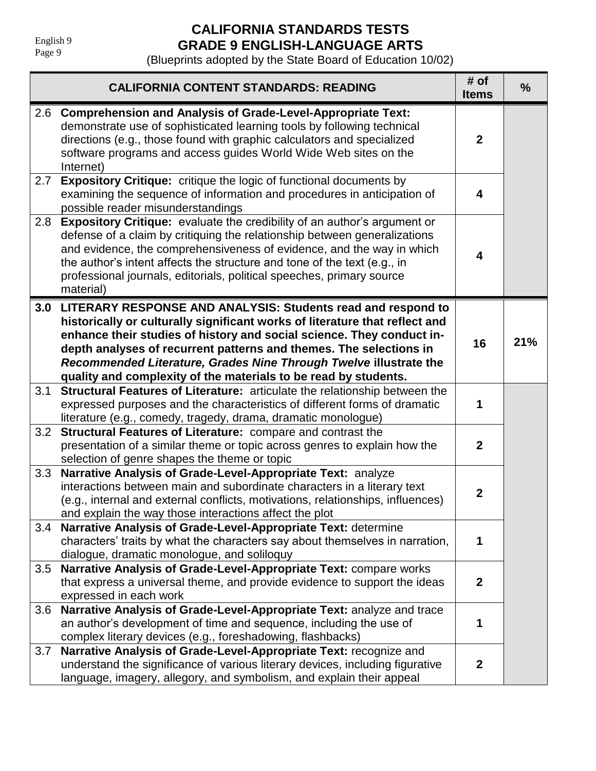# **CALIFORNIA STANDARDS TESTS GRADE 9 ENGLISH-LANGUAGE ARTS**

|     | <b>CALIFORNIA CONTENT STANDARDS: READING</b>                                                                                                                                                                                                                                                                                                                                                                                           | # of<br><b>Items</b> | $\frac{0}{0}$ |
|-----|----------------------------------------------------------------------------------------------------------------------------------------------------------------------------------------------------------------------------------------------------------------------------------------------------------------------------------------------------------------------------------------------------------------------------------------|----------------------|---------------|
| 2.6 | <b>Comprehension and Analysis of Grade-Level-Appropriate Text:</b><br>demonstrate use of sophisticated learning tools by following technical<br>directions (e.g., those found with graphic calculators and specialized<br>software programs and access guides World Wide Web sites on the<br>Internet)                                                                                                                                 | $\mathbf{2}$         |               |
| 2.7 | <b>Expository Critique:</b> critique the logic of functional documents by<br>examining the sequence of information and procedures in anticipation of<br>possible reader misunderstandings                                                                                                                                                                                                                                              | 4                    |               |
| 2.8 | <b>Expository Critique:</b> evaluate the credibility of an author's argument or<br>defense of a claim by critiquing the relationship between generalizations<br>and evidence, the comprehensiveness of evidence, and the way in which<br>the author's intent affects the structure and tone of the text (e.g., in<br>professional journals, editorials, political speeches, primary source<br>material)                                | 4                    |               |
|     | 3.0 LITERARY RESPONSE AND ANALYSIS: Students read and respond to<br>historically or culturally significant works of literature that reflect and<br>enhance their studies of history and social science. They conduct in-<br>depth analyses of recurrent patterns and themes. The selections in<br>Recommended Literature, Grades Nine Through Twelve illustrate the<br>quality and complexity of the materials to be read by students. | 16                   | 21%           |
| 3.1 | Structural Features of Literature: articulate the relationship between the<br>expressed purposes and the characteristics of different forms of dramatic<br>literature (e.g., comedy, tragedy, drama, dramatic monologue)                                                                                                                                                                                                               | 1                    |               |
| 3.2 | Structural Features of Literature: compare and contrast the<br>presentation of a similar theme or topic across genres to explain how the<br>selection of genre shapes the theme or topic                                                                                                                                                                                                                                               | $\mathbf{2}$         |               |
| 3.3 | Narrative Analysis of Grade-Level-Appropriate Text: analyze<br>interactions between main and subordinate characters in a literary text<br>(e.g., internal and external conflicts, motivations, relationships, influences)<br>and explain the way those interactions affect the plot                                                                                                                                                    | $\mathbf{2}$         |               |
| 3.4 | Narrative Analysis of Grade-Level-Appropriate Text: determine<br>characters' traits by what the characters say about themselves in narration,<br>dialogue, dramatic monologue, and soliloquy                                                                                                                                                                                                                                           | 1                    |               |
| 3.5 | Narrative Analysis of Grade-Level-Appropriate Text: compare works<br>that express a universal theme, and provide evidence to support the ideas<br>expressed in each work                                                                                                                                                                                                                                                               | $\mathbf{2}$         |               |
| 3.6 | Narrative Analysis of Grade-Level-Appropriate Text: analyze and trace<br>an author's development of time and sequence, including the use of<br>complex literary devices (e.g., foreshadowing, flashbacks)                                                                                                                                                                                                                              | 1                    |               |
| 3.7 | Narrative Analysis of Grade-Level-Appropriate Text: recognize and<br>understand the significance of various literary devices, including figurative<br>language, imagery, allegory, and symbolism, and explain their appeal                                                                                                                                                                                                             | $\mathbf{2}$         |               |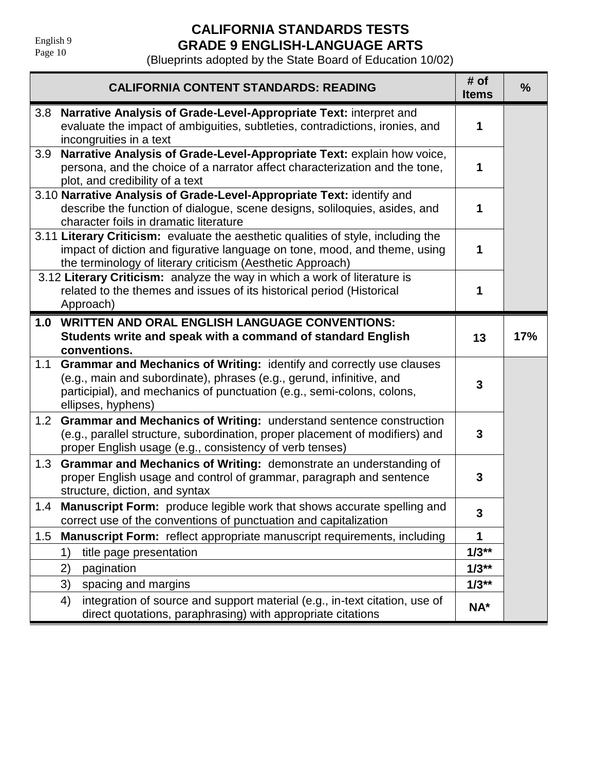# **CALIFORNIA STANDARDS TESTS GRADE 9 ENGLISH-LANGUAGE ARTS**

|                  | <b>CALIFORNIA CONTENT STANDARDS: READING</b>                                                                                                                                                                                                 | # of<br><b>Items</b> | $\frac{0}{0}$ |
|------------------|----------------------------------------------------------------------------------------------------------------------------------------------------------------------------------------------------------------------------------------------|----------------------|---------------|
| 3.8              | Narrative Analysis of Grade-Level-Appropriate Text: interpret and<br>evaluate the impact of ambiguities, subtleties, contradictions, ironies, and<br>incongruities in a text                                                                 | 1                    |               |
| 3.9              | Narrative Analysis of Grade-Level-Appropriate Text: explain how voice,<br>persona, and the choice of a narrator affect characterization and the tone,<br>plot, and credibility of a text                                                     | 1                    |               |
|                  | 3.10 Narrative Analysis of Grade-Level-Appropriate Text: identify and<br>describe the function of dialogue, scene designs, soliloquies, asides, and<br>character foils in dramatic literature                                                | 1                    |               |
|                  | 3.11 Literary Criticism: evaluate the aesthetic qualities of style, including the<br>impact of diction and figurative language on tone, mood, and theme, using<br>the terminology of literary criticism (Aesthetic Approach)                 | 1                    |               |
|                  | 3.12 Literary Criticism: analyze the way in which a work of literature is<br>related to the themes and issues of its historical period (Historical<br>Approach)                                                                              | 1                    |               |
| 1.0              | <b>WRITTEN AND ORAL ENGLISH LANGUAGE CONVENTIONS:</b>                                                                                                                                                                                        |                      |               |
|                  | Students write and speak with a command of standard English<br>conventions.                                                                                                                                                                  | 13                   | 17%           |
| 1.1              | Grammar and Mechanics of Writing: identify and correctly use clauses<br>(e.g., main and subordinate), phrases (e.g., gerund, infinitive, and<br>participial), and mechanics of punctuation (e.g., semi-colons, colons,<br>ellipses, hyphens) | 3                    |               |
| 1.2 <sub>1</sub> | Grammar and Mechanics of Writing: understand sentence construction<br>(e.g., parallel structure, subordination, proper placement of modifiers) and<br>proper English usage (e.g., consistency of verb tenses)                                | 3                    |               |
| 1.3              | Grammar and Mechanics of Writing: demonstrate an understanding of<br>proper English usage and control of grammar, paragraph and sentence<br>structure, diction, and syntax                                                                   | 3                    |               |
| 1.4              | <b>Manuscript Form:</b> produce legible work that shows accurate spelling and<br>correct use of the conventions of punctuation and capitalization                                                                                            | 3                    |               |
| 1.5              | Manuscript Form: reflect appropriate manuscript requirements, including                                                                                                                                                                      | 1                    |               |
|                  | title page presentation<br>1)                                                                                                                                                                                                                | $1/3**$              |               |
|                  | pagination<br>2)                                                                                                                                                                                                                             | $1/3**$              |               |
|                  | 3)<br>spacing and margins                                                                                                                                                                                                                    | $1/3**$              |               |
|                  | integration of source and support material (e.g., in-text citation, use of<br>4)<br>direct quotations, paraphrasing) with appropriate citations                                                                                              | NA*                  |               |